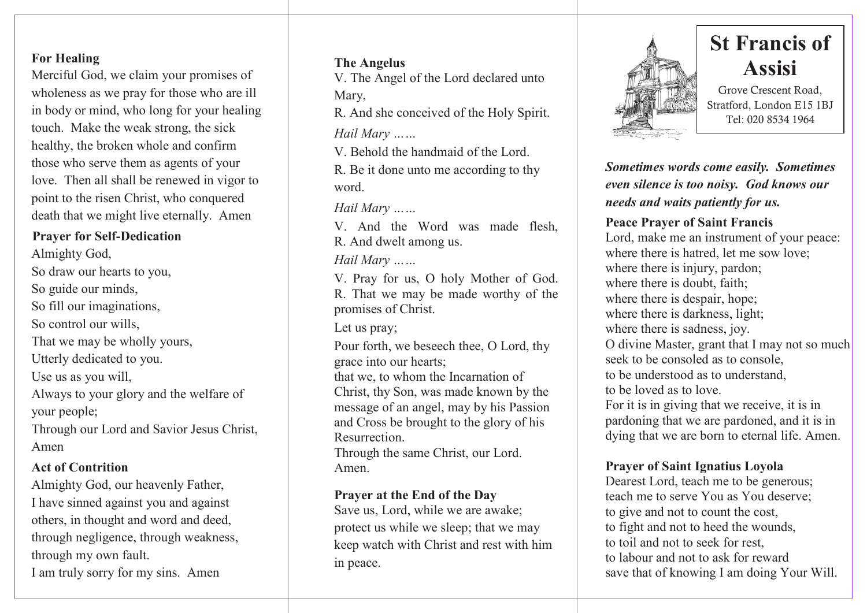# **For Healing**

Merciful God, we claim your promises of wholeness as we pray for those who are ill in body or mind, who long for your healing touch. Make the weak strong, the sick healthy, the broken whole and confirm those who serve them as agents of your love. Then all shall be renewed in vigor to point to the risen Christ, who conquered death that we might live eternally. Amen

# **Prayer for Self-Dedication**

Almighty God, So draw our hearts to you, So guide our minds, So fill our imaginations, So control our wills. That we may be wholly yours, Utterly dedicated to you. Use us as you will, Always to your glory and the welfare of your people; Through our Lord and Savior Jesus Christ, Amen

# **Act of Contrition**

Almighty God, our heavenly Father, I have sinned against you and against others, in thought and word and deed, through negligence, through weakness, through my own fault. I am truly sorry for my sins. Amen

## **The Angelus**

V. The Angel of the Lord declared unto Mary,

R. And she conceived of the Holy Spirit. *Hail Mary ……*

V. Behold the handmaid of the Lord.

R. Be it done unto me according to thy word.

*Hail Mary ……*

V. And the Word was made flesh, R. And dwelt among us.

*Hail Mary ……*

V. Pray for us, O holy Mother of God. R. That we may be made worthy of the promises of Christ.

Let us pray;

Pour forth, we beseech thee, O Lord, thy grace into our hearts;

that we, to whom the Incarnation of Christ, thy Son, was made known by the message of an angel, may by his Passion and Cross be brought to the glory of his Resurrection.

Through the same Christ, our Lord. Amen.

### **Prayer at the End of the Day**

Save us, Lord, while we are awake; protect us while we sleep; that we may keep watch with Christ and rest with him in peace.



# **St Francis of Assisi**

Grove Crescent Road, Stratford, London E15 1BJ Tel: 020 8534 1964

*Sometimes words come easily. Sometimes even silence is too noisy. God knows our needs and waits patiently for us.*

# **Peace Prayer of Saint Francis**

Lord, make me an instrument of your peace: where there is hatred, let me sow love; where there is injury, pardon; where there is doubt, faith; where there is despair, hope; where there is darkness, light; where there is sadness, joy. O divine Master, grant that I may not so much seek to be consoled as to console. to be understood as to understand, to be loved as to love. For it is in giving that we receive, it is in pardoning that we are pardoned, and it is in dying that we are born to eternal life. Amen.

# **Prayer of Saint Ignatius Loyola**

Dearest Lord, teach me to be generous; teach me to serve You as You deserve; to give and not to count the cost, to fight and not to heed the wounds, to toil and not to seek for rest, to labour and not to ask for reward save that of knowing I am doing Your Will.